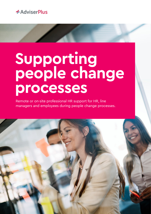

# **Supporting people change processes**

Remote or on-site professional HR support for HR, line managers and employees during people change processes.

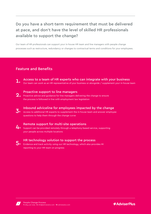# Do you have a short-term requirement that must be delivered at pace, and don't have the level of skilled HR professionals available to support the change?

Our team of HR professionals can support your in-house HR team and line managers with people change processes such as restructure, redundancy or changes to contractual terms and conditions for your employees.

# Feature and Benefits

Access to a team of HR experts who can integrate with your business 1. Our team can work as an HR representative of your business or alongside / supplement your in-house team

# Proactive support to line managers

- Proactive support to fine managers<br>2. Proactive advice and guidance for line managers delivering the change to ensure the process is followed in line with employment law legislation
- 3. Inbound adviceline for employees impacted by the change Access to additional HR experts to supplement the in-house team and answer employee questions to help them through the change curve



## Remote support for multi-site operations

- Support can be provided remotely through a telephony-based service, supporting your people across multiple locations
- 5.

## HR technology solution to support the process

Evidence and track activity using our HR technology, which also provides MI reporting to your HR team on progress



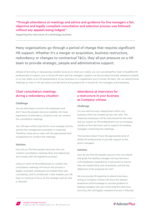# "Through attendance at meetings and advice and guidance for line managers a fair, objective and legally compliant consultation and selection process was followed without any appeals being lodged."

Supporting the restructure of a technology business

Many organisations go through a period of change that requires significant HR support. Whether it's a merger or acquisition, business restructure, redundancy or changes to contractual T&Cs, they all put pressure on a HR team to provide strategic, people and administrative support.

Instead of recruiting or repurposing valuable resource to meet your needs, you can use AdviserPlus' team of qualified HR professionals to support your in-house HR team and line managers. Support can be provided remotely (telephony based), or on-site, either as an HR representative of your business or to supplement your in-house HR team. We can attend formal meetings as chair or HR rep and/or provide advice and guidance for in-house HR, line managers and employees.

# Chair consultation meetings during a redundancy situation

#### **Challenge**

You are planning to consult with employees and don't have the people resource available who have experience of redundancy situations and can conduct the consultation meetings.

Your HR team will be required for more strategic activity and the line management population is impacted. Therefore, there are no roles with the appropriate level of experience to conduct the meetings.

#### **Solution**

How do you find the people resources who can conduct consultation meetings fairly and objectively and comply with the legislative process?

Using our team of HR professionals to conduct the consultation meetings will ensure the process is legally compliant, employees are treated fairly and consistently, and it's evidenced. It also enables your HR team to continue to focus on the strategic activity that is required.

# Attendance at interviews for a restructure in your business as Company witness

#### **Challenge**

You are restructuring a department within your business which has created 48 new job roles. The impacted employees will be interviewed for the roles and you require an HR professional to act as Company witness at the interviews and to support the leading managers conducting the meetings.

The business doesn't have the appropriate level of skilled HR professionals to provide support to the senior managers.

#### **Solution**

How do you find the people resource who can attend and guide the leading managers during interviews with employees impacted by a restructure to ensure they are treated fairly and consistently, and the key objectives of the proposal are met?

We can provide HR expertise to attend interviews, acting as Company witness who have the relevant experience and knowledge to provide guidance to leading managers who are conducting the interviews, ensuring a fair and legally compliant process is followed.



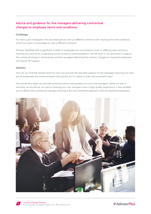# Advice and guidance for line managers delivering contractual changes to employee terms and conditions

#### **Challenge**

You have 2,500 employees who are employed on over 40 different contracts with varying terms and conditions, which you want to consolidate to only 4 different contracts.

HR have identified that a significant number of employees are contracted to work on differing days and hours meaning the work force is operating across numerous working patterns. The HR team is not resourced to support this volume of change in the business and line managers delivering the contract changes to impacted employees will require HR support.

#### **Solution**

How do you find the people resource who can provide the required support to line managers ensuring not only are all employees are communicated with quickly, but it's done in a fair and consistent way?

The AdviserPlus team can provide proactive advice and guidance to your line managers, either on-site or remotely via the phone. As well as meaning your line managers have a high quality experience, it also enables you to deliver the contractual changes ensuring a fair and consistent approach with all impacted employees.





**T:** 0844 327 2293 **E:** info@adviserplus.com **W:** adviserplus.com People Change Process **<sup>3</sup>**